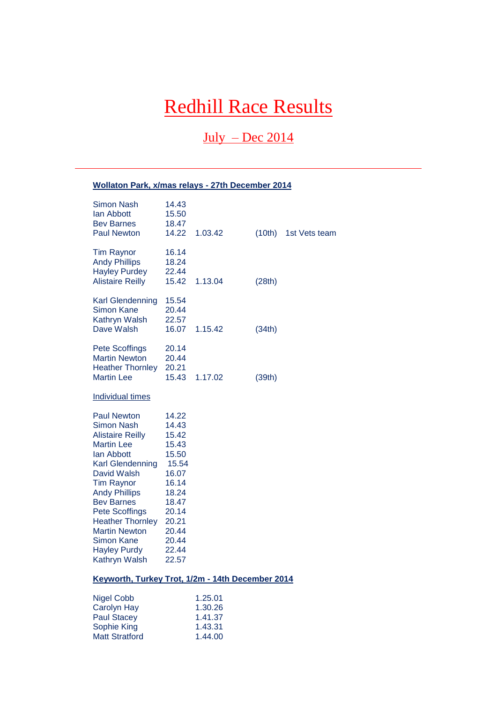# Redhill Race Results

 $July - Dec 2014$ 

# **Wollaton Park, x/mas relays - 27th December 2014**

| <b>Simon Nash</b><br>lan Abbott<br><b>Bev Barnes</b><br><b>Paul Newton</b>                                                                                                                                                                                                                                                                          | 14.43<br>15.50<br>18.47<br>14.22                                                                                                             | 1.03.42                                             | (10th) | 1st Vets team |
|-----------------------------------------------------------------------------------------------------------------------------------------------------------------------------------------------------------------------------------------------------------------------------------------------------------------------------------------------------|----------------------------------------------------------------------------------------------------------------------------------------------|-----------------------------------------------------|--------|---------------|
| <b>Tim Raynor</b><br><b>Andy Phillips</b><br><b>Hayley Purdey</b><br><b>Alistaire Reilly</b>                                                                                                                                                                                                                                                        | 16.14<br>18.24<br>22.44<br>15.42                                                                                                             | 1.13.04                                             | (28th) |               |
| <b>Karl Glendenning</b><br>Simon Kane<br>Kathryn Walsh<br>Dave Walsh                                                                                                                                                                                                                                                                                | 15.54<br>20.44<br>22.57<br>16.07                                                                                                             | 1.15.42                                             | (34th) |               |
| <b>Pete Scoffings</b><br><b>Martin Newton</b><br><b>Heather Thornley</b><br><b>Martin Lee</b>                                                                                                                                                                                                                                                       | 20.14<br>20.44<br>20.21<br>15.43                                                                                                             | 1.17.02                                             | (39th) |               |
| <b>Individual times</b>                                                                                                                                                                                                                                                                                                                             |                                                                                                                                              |                                                     |        |               |
| <b>Paul Newton</b><br>Simon Nash<br><b>Alistaire Reilly</b><br><b>Martin Lee</b><br>lan Abbott<br><b>Karl Glendenning</b><br>David Walsh<br><b>Tim Raynor</b><br><b>Andy Phillips</b><br><b>Bev Barnes</b><br><b>Pete Scoffings</b><br><b>Heather Thornley</b><br><b>Martin Newton</b><br><b>Simon Kane</b><br><b>Hayley Purdy</b><br>Kathryn Walsh | 14.22<br>14.43<br>15.42<br>15.43<br>15.50<br>15.54<br>16.07<br>16.14<br>18.24<br>18.47<br>20.14<br>20.21<br>20.44<br>20.44<br>22.44<br>22.57 |                                                     |        |               |
| Keyworth, Turkey Trot, 1/2m - 14th December 2014                                                                                                                                                                                                                                                                                                    |                                                                                                                                              |                                                     |        |               |
| <b>Nigel Cobb</b><br><b>Carolyn Hay</b><br><b>Paul Stacey</b><br>Sophie King<br><b>Matt Stratford</b>                                                                                                                                                                                                                                               |                                                                                                                                              | 1.25.01<br>1.30.26<br>1.41.37<br>1.43.31<br>1.44.00 |        |               |

Matt Stratford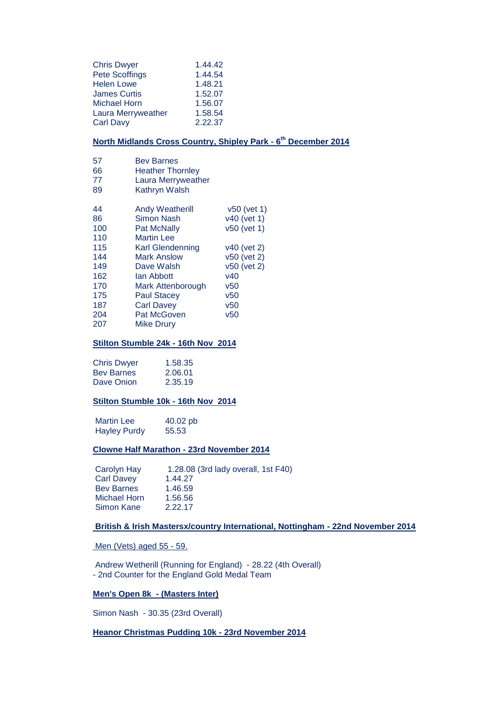| <b>Chris Dwyer</b>  | 1.44.42 |
|---------------------|---------|
| Pete Scoffings      | 1.44.54 |
| <b>Helen Lowe</b>   | 1.48.21 |
| <b>James Curtis</b> | 1.52.07 |
| <b>Michael Horn</b> | 1.56.07 |
| Laura Merryweather  | 1.58.54 |
| <b>Carl Davy</b>    | 2.22.37 |

## **North Midlands Cross Country, Shipley Park - 6 th December 2014**

| 57     | <b>Bev Barnes</b>                    |
|--------|--------------------------------------|
| $\sim$ | والمحاسبين والتتاريب والقواط المالية |

- 66 Heather Thornley
- 77 Laura Merryweather
- 89 Kathryn Walsh

| 44  | <b>Andy Weatherill</b>  | v50 (vet 1) |
|-----|-------------------------|-------------|
| 86  | Simon Nash              | v40 (vet 1) |
| 100 | Pat McNally             | v50 (vet 1) |
| 110 | <b>Martin Lee</b>       |             |
| 115 | <b>Karl Glendenning</b> | v40 (vet 2) |
| 144 | <b>Mark Anslow</b>      | v50 (vet 2) |
| 149 | Dave Walsh              | v50 (vet 2) |
| 162 | lan Abbott              | v40         |
| 170 | Mark Attenborough       | v50         |
| 175 | <b>Paul Stacey</b>      | v50         |
| 187 | <b>Carl Davey</b>       | v50         |
| 204 | <b>Pat McGoven</b>      | v50         |
| 207 | Mike Drury              |             |

#### **Stilton Stumble 24k - 16th Nov 2014**

| <b>Chris Dwyer</b> | 1.58.35 |
|--------------------|---------|
| <b>Bey Barnes</b>  | 2.06.01 |
| Dave Onion         | 2.35.19 |

#### **Stilton Stumble 10k - 16th Nov 2014**

Martin Lee 40.02 pb Hayley Purdy 55.53

#### **Clowne Half Marathon - 23rd November 2014**

| Carolyn Hay         | 1.28.08 (3rd lady overall, 1st F40) |
|---------------------|-------------------------------------|
| <b>Carl Davey</b>   | 1.44.27                             |
| <b>Bev Barnes</b>   | 1.46.59                             |
| <b>Michael Horn</b> | 1.56.56                             |
| Simon Kane          | 2.22.17                             |

## **British & Irish Mastersx/country International, Nottingham - 22nd November 2014**

Men (Vets) aged 55 - 59.

Andrew Wetherill (Running for England) - 28.22 (4th Overall) - 2nd Counter for the England Gold Medal Team

#### **Men's Open 8k - (Masters Inter)**

Simon Nash - 30.35 (23rd Overall)

#### **Heanor Christmas Pudding 10k - 23rd November 2014**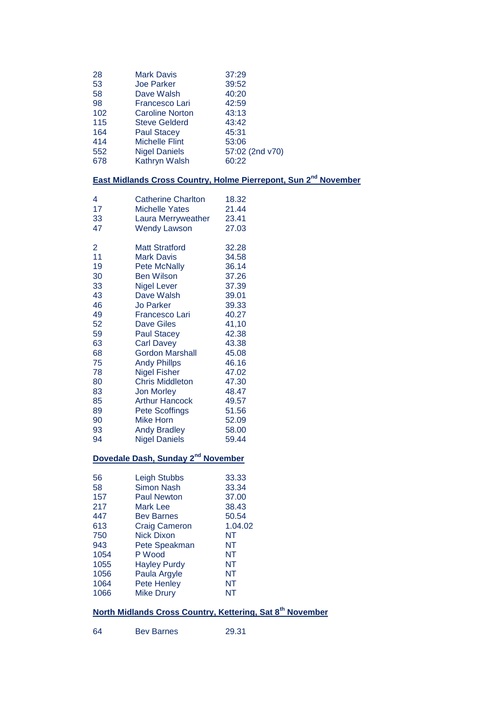| 28  | <b>Mark Davis</b>      | 37:29           |
|-----|------------------------|-----------------|
|     |                        |                 |
| 53  | <b>Joe Parker</b>      | 39:52           |
| 58  | Dave Walsh             | 40:20           |
| 98  | <b>Francesco Lari</b>  | 42:59           |
| 102 | <b>Caroline Norton</b> | 43:13           |
| 115 | <b>Steve Gelderd</b>   | 43:42           |
| 164 | <b>Paul Stacey</b>     | 45:31           |
| 414 | <b>Michelle Flint</b>  | 53:06           |
| 552 | <b>Nigel Daniels</b>   | 57:02 (2nd v70) |
| 678 | Kathryn Walsh          | 60:22           |
|     |                        |                 |

# **East Midlands Cross Country, Holme Pierrepont, Sun 2nd November**

| 4              | <b>Catherine Charlton</b>                      | 18.32 |
|----------------|------------------------------------------------|-------|
| 17             | <b>Michelle Yates</b>                          | 21.44 |
| 33             | Laura Merryweather                             | 23.41 |
| 47             | <b>Wendy Lawson</b>                            | 27.03 |
| $\overline{2}$ | <b>Matt Stratford</b>                          | 32.28 |
| 11             | <b>Mark Davis</b>                              | 34.58 |
| 19             | <b>Pete McNally</b>                            | 36.14 |
| 30             | <b>Ben Wilson</b>                              | 37.26 |
| 33             | <b>Nigel Lever</b>                             | 37.39 |
| 43             | Dave Walsh                                     | 39.01 |
| 46             | <b>Jo Parker</b>                               | 39.33 |
| 49             | <b>Francesco Lari</b>                          | 40.27 |
| 52             | <b>Dave Giles</b>                              | 41,10 |
| 59             | <b>Paul Stacey</b>                             | 42.38 |
| 63             | <b>Carl Davey</b>                              | 43.38 |
| 68             | <b>Gordon Marshall</b>                         | 45.08 |
| 75             | <b>Andy Phillps</b>                            | 46.16 |
| 78             | <b>Nigel Fisher</b>                            | 47.02 |
| 80             | <b>Chris Middleton</b>                         | 47.30 |
| 83             | <b>Jon Morley</b>                              | 48.47 |
| 85             | <b>Arthur Hancock</b>                          | 49.57 |
| 89             | <b>Pete Scoffings</b>                          | 51.56 |
| 90             | <b>Mike Horn</b>                               | 52.09 |
| 93             | <b>Andy Bradley</b>                            | 58.00 |
| 94             | <b>Nigel Daniels</b>                           | 59.44 |
|                | Dovedale Dash, Sunday 2 <sup>nd</sup> November |       |
| 56             | Leigh Stubbs                                   | 33.33 |
| 58             | <b>Simon Nash</b>                              | 33.34 |
| 157            | Paul Newton                                    | 37 NO |

| 58   | Simon Nash           | 33.34   |
|------|----------------------|---------|
| 157  | <b>Paul Newton</b>   | 37.00   |
| 217  | <b>Mark Lee</b>      | 38.43   |
| 447  | <b>Bev Barnes</b>    | 50.54   |
| 613  | <b>Craig Cameron</b> | 1.04.02 |
| 750  | <b>Nick Dixon</b>    | NΤ      |
| 943  | Pete Speakman        | NT      |
| 1054 | P Wood               | NT      |
| 1055 | <b>Hayley Purdy</b>  | NT      |
| 1056 | Paula Argyle         | NT      |
| 1064 | Pete Henley          | NT      |
| 1066 | <b>Mike Drury</b>    | NΤ      |
|      |                      |         |

# **North Midlands Cross Country, Kettering, Sat 8th November**

Bev Barnes 29.31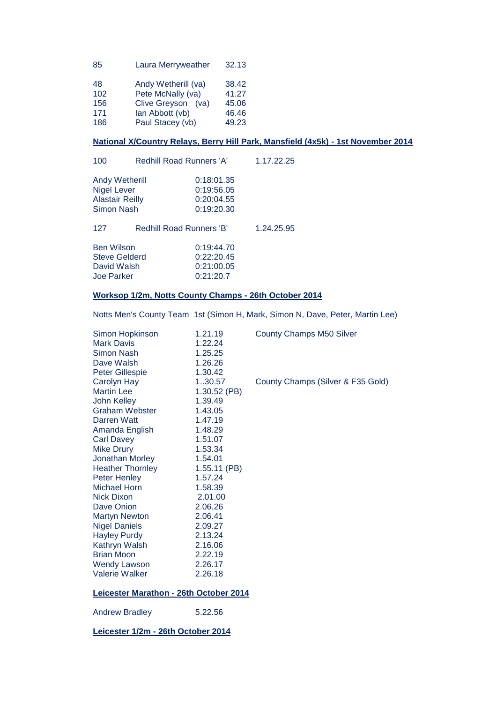| 85  | Laura Merryweather  | 32.13 |
|-----|---------------------|-------|
| 48  | Andy Wetherill (va) | 38.42 |
| 102 | Pete McNally (va)   | 41.27 |
| 156 | Clive Greyson (va)  | 45.06 |
| 171 | lan Abbott (vb)     | 46.46 |
| 186 | Paul Stacey (vb)    | 49.23 |

## **National X/Country Relays, Berry Hill Park, Mansfield (4x5k) - 1st November 2014**

| 100                                                                          |  | <b>Redhill Road Runners 'A'</b>                      |            |  |
|------------------------------------------------------------------------------|--|------------------------------------------------------|------------|--|
| Andy Wetherill<br><b>Nigel Lever</b><br><b>Alastair Reilly</b><br>Simon Nash |  | 0:18:01.35<br>0:19:56.05<br>0:20:04.55<br>0:19:20.30 |            |  |
| 127                                                                          |  | <b>Redhill Road Runners 'B'</b>                      | 1.24.25.95 |  |
| <b>Ben Wilson</b><br><b>Steve Gelderd</b><br>David Walsh<br>Joe Parker       |  | 0:19:44.70<br>0:22:20.45<br>0:21:00.05<br>0:21:20.7  |            |  |

## **Worksop 1/2m, Notts County Champs - 26th October 2014**

Notts Men's County Team 1st (Simon H, Mark, Simon N, Dave, Peter, Martin Lee)

| Simon Hopkinson<br><b>Mark Davis</b>   | 1.21.19<br>1.22.24 | <b>County Champs M50 Silver</b>   |
|----------------------------------------|--------------------|-----------------------------------|
| <b>Simon Nash</b>                      | 1.25.25            |                                   |
| Dave Walsh                             | 1.26.26            |                                   |
| <b>Peter Gillespie</b>                 | 1.30.42            |                                   |
| Carolyn Hay                            | 1.30.57            | County Champs (Silver & F35 Gold) |
| <b>Martin Lee</b>                      | $1.30.52$ (PB)     |                                   |
| <b>John Kelley</b>                     | 1.39.49            |                                   |
| <b>Graham Webster</b>                  | 1.43.05            |                                   |
| Darren Watt                            | 1.47.19            |                                   |
| Amanda English                         | 1.48.29            |                                   |
| <b>Carl Davey</b>                      | 1.51.07            |                                   |
| <b>Mike Drury</b>                      | 1.53.34            |                                   |
| Jonathan Morley                        | 1.54.01            |                                   |
| <b>Heather Thornley</b>                | $1.55.11$ (PB)     |                                   |
| <b>Peter Henley</b>                    | 1.57.24            |                                   |
| <b>Michael Horn</b>                    | 1.58.39            |                                   |
| <b>Nick Dixon</b>                      | 2.01.00            |                                   |
| Dave Onion                             | 2.06.26            |                                   |
| <b>Martyn Newton</b>                   | 2.06.41            |                                   |
| <b>Nigel Daniels</b>                   | 2.09.27            |                                   |
| <b>Hayley Purdy</b>                    | 2.13.24            |                                   |
| Kathryn Walsh                          | 2.16.06            |                                   |
| <b>Brian Moon</b>                      | 2.22.19            |                                   |
| <b>Wendy Lawson</b>                    | 2.26.17            |                                   |
| <b>Valerie Walker</b>                  | 2.26.18            |                                   |
| Leicester Marathon - 26th October 2014 |                    |                                   |
| <b>Andrew Bradley</b>                  | 5.22.56            |                                   |
| Leicester 1/2m - 26th October 2014     |                    |                                   |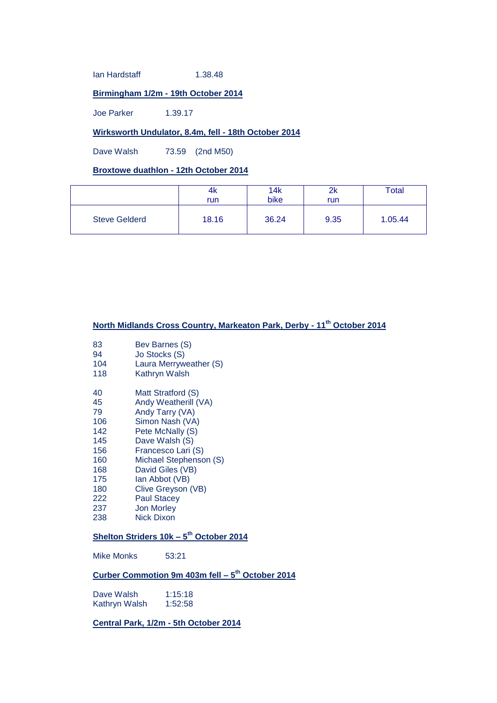Ian Hardstaff 1.38.48

## **Birmingham 1/2m - 19th October 2014**

Joe Parker 1.39.17

## **Wirksworth Undulator, 8.4m, fell - 18th October 2014**

Dave Walsh 73.59 (2nd M50)

## **Broxtowe duathlon - 12th October 2014**

|                      | 4K    | 14k   | 2k   | Total   |
|----------------------|-------|-------|------|---------|
|                      | run   | bike  | run  |         |
| <b>Steve Gelderd</b> | 18.16 | 36.24 | 9.35 | 1.05.44 |

# **North Midlands Cross Country, Markeaton Park, Derby - 11th October 2014**

| 83<br>94<br>104<br>118 | Bev Barnes (S)<br>Jo Stocks (S)<br>Laura Merryweather (S)<br>Kathryn Walsh |
|------------------------|----------------------------------------------------------------------------|
| 40                     | Matt Stratford (S)                                                         |
| 45                     | Andy Weatherill (VA)                                                       |
| 79                     | Andy Tarry (VA)                                                            |
| 106                    | Simon Nash (VA)                                                            |
| 142                    | Pete McNally (S)                                                           |
| 145                    | Dave Walsh (S)                                                             |
| 156                    | Francesco Lari (S)                                                         |
| 160                    | Michael Stephenson (S)                                                     |
| 168                    | David Giles (VB)                                                           |
| 175                    | lan Abbot (VB)                                                             |
| 180                    | Clive Greyson (VB)                                                         |
| 222                    | <b>Paul Stacey</b>                                                         |
| 237                    | <b>Jon Morley</b>                                                          |
| 238                    | <b>Nick Dixon</b>                                                          |
|                        |                                                                            |

## **Shelton Striders 10k – 5 th October 2014**

Mike Monks 53:21

## **Curber Commotion 9m 403m fell – 5 th October 2014**

Dave Walsh 1:15:18<br>Kathryn Walsh 1:52:58 Kathryn Walsh

**Central Park, 1/2m - 5th October 2014**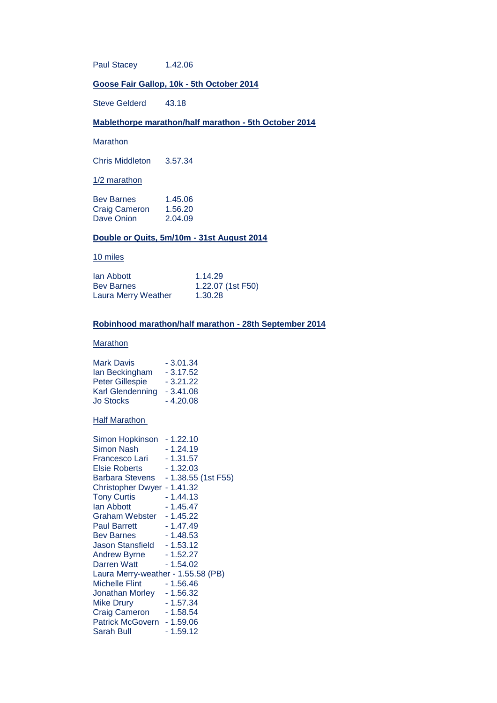Paul Stacey 1.42.06

## **Goose Fair Gallop, 10k - 5th October 2014**

Steve Gelderd 43.18

#### **Mablethorpe marathon/half marathon - 5th October 2014**

Marathon

Chris Middleton 3.57.34

#### 1/2 marathon

| <b>Bey Barnes</b>    | 1.45.06 |
|----------------------|---------|
| <b>Craig Cameron</b> | 1.56.20 |
| Dave Onion           | 2.04.09 |

#### **Double or Quits, 5m/10m - 31st August 2014**

#### 10 miles

| lan Abbott          | 1.14.29           |
|---------------------|-------------------|
| <b>Bev Barnes</b>   | 1.22.07 (1st F50) |
| Laura Merry Weather | 1.30.28           |

#### **Robinhood marathon/half marathon - 28th September 2014**

#### **Marathon**

| <b>Mark Davis</b>       | $-3.01.34$ |
|-------------------------|------------|
| lan Beckingham          | $-3.17.52$ |
| <b>Peter Gillespie</b>  | $-3.21.22$ |
| <b>Karl Glendenning</b> | $-3.41.08$ |
| <b>Jo Stocks</b>        | $-4.20.08$ |

#### Half Marathon

| Simon Hopkinson                    | - 1.22.10           |
|------------------------------------|---------------------|
| Simon Nash                         | - 1.24.19           |
| Francesco Lari                     | $-1.31.57$          |
| Elsie Roberts                      | - 1.32.03           |
| <b>Barbara Stevens</b>             | - 1.38.55 (1st F55) |
| Christopher Dwyer - 1.41.32        |                     |
| <b>Tony Curtis</b>                 | - 1.44.13           |
| lan Abbott                         | - 1.45.47           |
| <b>Graham Webster</b>              | - 1.45.22           |
| <b>Paul Barrett</b>                | - 1.47.49           |
| <b>Bev Barnes</b>                  | $-1.48.53$          |
| Jason Stansfield                   | - 1.53.12           |
| <b>Andrew Byrne</b>                | - 1.52.27           |
| <b>Darren Watt</b>                 | - 1.54.02           |
| Laura Merry-weather - 1.55.58 (PB) |                     |
| Michelle Flint                     | - 1.56.46           |
| <b>Jonathan Morley</b>             | - 1.56.32           |
| Mike Drury                         | - 1.57.34           |
| <b>Craig Cameron</b>               | $-1.58.54$          |
| <b>Patrick McGovern</b>            | $-1.59.06$          |
| Sarah Bull                         | - 1.59.12           |
|                                    |                     |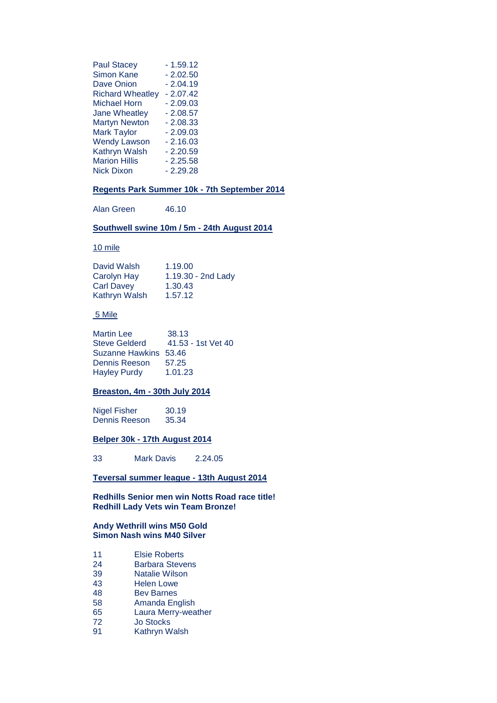| <b>Paul Stacey</b>      | $-1.59.12$ |
|-------------------------|------------|
| <b>Simon Kane</b>       | $-2.02.50$ |
| <b>Dave Onion</b>       | $-2.04.19$ |
| <b>Richard Wheatley</b> | $-2.07.42$ |
| <b>Michael Horn</b>     | $-2.09.03$ |
| <b>Jane Wheatley</b>    | $-2.08.57$ |
| <b>Martyn Newton</b>    | $-2.08.33$ |
| <b>Mark Taylor</b>      | $-2.09.03$ |
| <b>Wendy Lawson</b>     | $-2.16.03$ |
| Kathryn Walsh           | $-2.20.59$ |
| <b>Marion Hillis</b>    | $-2.25.58$ |
| Nick Dixon              | $-2.29.28$ |

#### **Regents Park Summer 10k - 7th September 2014**

Alan Green 46.10

#### **Southwell swine 10m / 5m - 24th August 2014**

#### 10 mile

| David Walsh          | 1.19.00              |
|----------------------|----------------------|
| Carolyn Hay          | $1.19.30 - 2nd$ Lady |
| <b>Carl Davey</b>    | 1.30.43              |
| <b>Kathryn Walsh</b> | 1.57.12              |

#### 5 Mile

| <b>Martin Lee</b>     | 38.13              |
|-----------------------|--------------------|
| Steve Gelderd         | 41.53 - 1st Vet 40 |
| Suzanne Hawkins 53.46 |                    |
| Dennis Reeson         | 57.25              |
| <b>Hayley Purdy</b>   | 1.01.23            |

## **Breaston, 4m - 30th July 2014**

Nigel Fisher 30.19<br>Dennis Reeson 35.34 Dennis Reeson

#### **Belper 30k - 17th August 2014**

33 Mark Davis 2.24.05

#### **Teversal summer league - 13th August 2014**

**Redhills Senior men win Notts Road race title! Redhill Lady Vets win Team Bronze!**

#### **Andy Wethrill wins M50 Gold Simon Nash wins M40 Silver**

- 11 Elsie Roberts
- 24 Barbara Stevens<br>39 Natalie Wilson
- Natalie Wilson
- 43 Helen Lowe
- 48 Bev Barnes
- 58 Amanda English
- 65 Laura Merry-weather<br>72 Jo Stocks
- 72 Jo Stocks
- **Kathryn Walsh**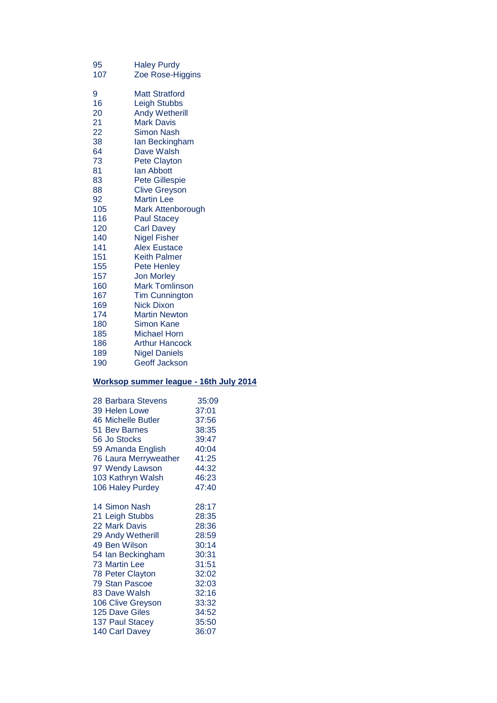| 95  | <b>Haley Purdy</b>    |
|-----|-----------------------|
| 107 | Zoe Rose-Higgins      |
| 9   | Matt Stratford        |
| 16  | <b>Leigh Stubbs</b>   |
| 20  | <b>Andy Wetherill</b> |
| 21  | <b>Mark Davis</b>     |
| 22  | Simon Nash            |
| 38  | lan Beckingham        |
| 64  | Dave Walsh            |
| 73  | Pete Clayton          |
| 81  | lan Abbott            |
| 83  | <b>Pete Gillespie</b> |
| 88  | <b>Clive Greyson</b>  |
| 92  | <b>Martin Lee</b>     |
| 105 | Mark Attenborough     |
| 116 | <b>Paul Stacey</b>    |
| 120 | Carl Davey            |
| 140 | <b>Nigel Fisher</b>   |
| 141 | <b>Alex Eustace</b>   |
| 151 | <b>Keith Palmer</b>   |
| 155 | Pete Henley           |
| 157 | <b>Jon Morley</b>     |
| 160 | <b>Mark Tomlinson</b> |
| 167 | <b>Tim Cunnington</b> |
| 169 | Nick Dixon            |
| 174 | <b>Martin Newton</b>  |
| 180 | Simon Kane            |
| 185 | Michael Horn          |
| 186 | <b>Arthur Hancock</b> |
| 189 | <b>Nigel Daniels</b>  |
| 190 | <b>Geoff Jackson</b>  |

# **Worksop summer league - 16th July 2014**

| 28 Barbara Stevens          | 35:09          |
|-----------------------------|----------------|
| 39 Helen Lowe               | 37:01          |
| 46 Michelle Butler          | 37:56          |
| 51 Bev Barnes               | 38:35          |
| 56 Jo Stocks                | 39:47          |
| 59 Amanda English           | 40:04          |
| 76 Laura Merryweather 41:25 |                |
| 97 Wendy Lawson             |                |
| 103 Kathryn Walsh           | 44:32<br>46:23 |
| 106 Haley Purdey            | 47:40          |
| 14 Simon Nash               | 28:17          |
| 21 Leigh Stubbs             | 28:35          |
| 22 Mark Davis               | 28:36          |
| 29 Andy Wetherill           | 28:36<br>28:59 |
| 49 Ben Wilson               | 30:14          |
| 54 Ian Beckingham           | 30:31          |
| <b>73 Martin Lee</b>        | 31:51          |
| <b>78 Peter Clayton</b>     | 32:02          |
| <b>79 Stan Pascoe</b>       | 32:03          |
| 83 Dave Walsh               | 32:16          |
| 106 Clive Greyson           | 33:32          |
| 125 Dave Giles              | 34:52          |
| 137 Paul Stacey             | 35:50          |
| 140 Carl Davey              | 36:07          |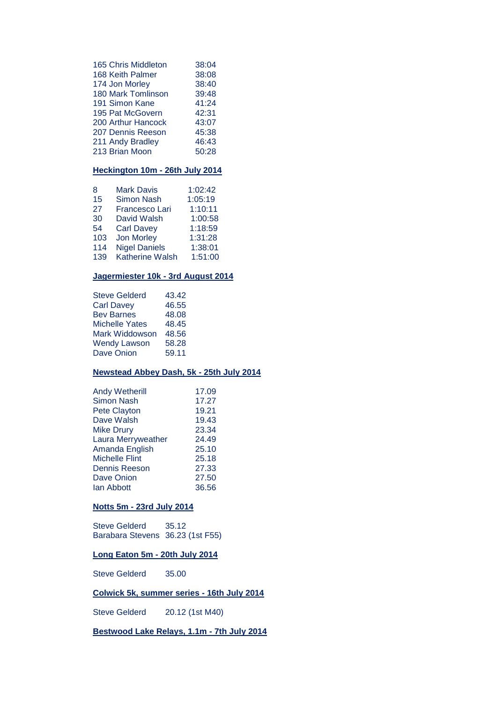| 165 Chris Middleton | 38:04 |
|---------------------|-------|
| 168 Keith Palmer    | 38:08 |
| 174 Jon Morley      | 38:40 |
| 180 Mark Tomlinson  | 39:48 |
| 191 Simon Kane      | 41:24 |
| 195 Pat McGovern    | 42:31 |
| 200 Arthur Hancock  | 43:07 |
| 207 Dennis Reeson   | 45:38 |
| 211 Andy Bradley    | 46:43 |
| 213 Brian Moon      | 50:28 |

## **Heckington 10m - 26th July 2014**

| 8   | <b>Mark Davis</b>      | 1:02:42 |
|-----|------------------------|---------|
| 15  | <b>Simon Nash</b>      | 1:05:19 |
| 27  | Francesco Lari         | 1:10:11 |
| 30  | David Walsh            | 1:00:58 |
| 54  | <b>Carl Davey</b>      | 1:18:59 |
| 103 | <b>Jon Morley</b>      | 1:31:28 |
| 114 | <b>Nigel Daniels</b>   | 1:38:01 |
| 139 | <b>Katherine Walsh</b> | 1:51:00 |

## **Jagermiester 10k - 3rd August 2014**

| <b>Steve Gelderd</b>  | 43.42 |
|-----------------------|-------|
| <b>Carl Davey</b>     | 46.55 |
| <b>Bev Barnes</b>     | 48.08 |
| <b>Michelle Yates</b> | 48.45 |
| Mark Widdowson        | 48.56 |
| <b>Wendy Lawson</b>   | 58.28 |
| <b>Dave Onion</b>     | 59.11 |
|                       |       |

## **Newstead Abbey Dash, 5k - 25th July 2014**

| <b>Andy Wetherill</b> | 17.09 |
|-----------------------|-------|
| <b>Simon Nash</b>     | 17.27 |
| Pete Clayton          | 19.21 |
| Dave Walsh            | 19.43 |
| <b>Mike Drury</b>     | 23.34 |
| Laura Merryweather    | 24.49 |
| Amanda English        | 25.10 |
| <b>Michelle Flint</b> | 25.18 |
| <b>Dennis Reeson</b>  | 27.33 |
| Dave Onion            | 27.50 |
| lan Abbott            | 36.56 |
|                       |       |

## **Notts 5m - 23rd July 2014**

| Steve Gelderd                    | 35.12 |
|----------------------------------|-------|
| Barabara Stevens 36.23 (1st F55) |       |

## **Long Eaton 5m - 20th July 2014**

Steve Gelderd 35.00

#### **Colwick 5k, summer series - 16th July 2014**

Steve Gelderd 20.12 (1st M40)

**Bestwood Lake Relays, 1.1m - 7th July 2014**